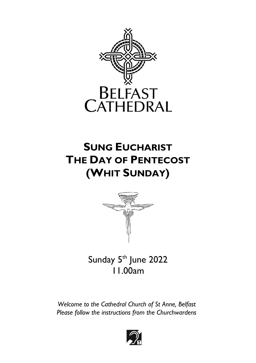

# **SUNG EUCHARIST THE DAY OF PENTECOST (WHIT SUNDAY)**



Sunday 5<sup>th</sup> June 2022 11.00am

*Welcome to the Cathedral Church of St Anne, Belfast Please follow the instructions from the Churchwardens*

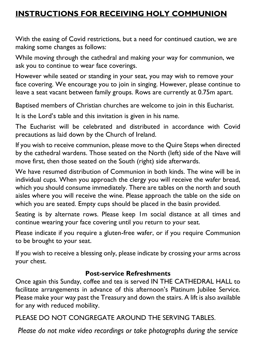# **INSTRUCTIONS FOR RECEIVING HOLY COMMUNION**

With the easing of Covid restrictions, but a need for continued caution, we are making some changes as follows:

While moving through the cathedral and making your way for communion, we ask you to continue to wear face coverings.

However while seated or standing in your seat, you may wish to remove your face covering. We encourage you to join in singing. However, please continue to leave a seat vacant between family groups. Rows are currently at 0.75m apart.

Baptised members of Christian churches are welcome to join in this Eucharist.

It is the Lord's table and this invitation is given in his name.

The Eucharist will be celebrated and distributed in accordance with Covid precautions as laid down by the Church of Ireland.

If you wish to receive communion, please move to the Quire Steps when directed by the cathedral wardens. Those seated on the North (left) side of the Nave will move first, then those seated on the South (right) side afterwards.

We have resumed distribution of Communion in both kinds. The wine will be in individual cups. When you approach the clergy you will receive the wafer bread, which you should consume immediately. There are tables on the north and south aisles where you will receive the wine. Please approach the table on the side on which you are seated. Empty cups should be placed in the basin provided.

Seating is by alternate rows. Please keep 1m social distance at all times and continue wearing your face covering until you return to your seat.

Please indicate if you require a gluten-free wafer, or if you require Communion to be brought to your seat.

If you wish to receive a blessing only, please indicate by crossing your arms across your chest.

### **Post-service Refreshments**

Once again this Sunday, coffee and tea is served IN THE CATHEDRAL HALL to facilitate arrangements in advance of this afternoon's Platinum Jubilee Service. Please make your way past the Treasury and down the stairs. A lift is also available for any with reduced mobility.

PLEASE DO NOT CONGREGATE AROUND THE SERVING TABLES.

*Please do not make video recordings or take photographs during the service*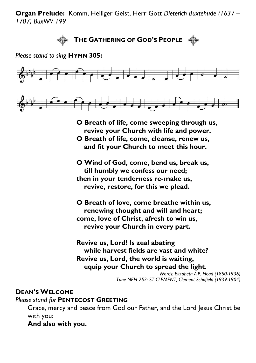**Organ Prelude:** Komm, Heiliger Geist, Herr Gott *Dieterich Buxtehude (1637 – 1707) BuxWV 199* 



*Please stand to sing* **HYMN 305:**



**O Breath of life, come sweeping through us, revive your Church with life and power.**

**O Breath of life, come, cleanse, renew us, and fit your Church to meet this hour.**

**O Wind of God, come, bend us, break us, till humbly we confess our need; then in your tenderness re-make us, revive, restore, for this we plead.**

**O Breath of love, come breathe within us, renewing thought and will and heart; come, love of Christ, afresh to win us, revive your Church in every part.**

**Revive us, Lord! Is zeal abating while harvest fields are vast and white? Revive us, Lord, the world is waiting, equip your Church to spread the light.**

> *Words: Elizabeth A.P. Head (1850-1936) Tune NEH 252: ST CLEMENT, Clement Schofield (1939-1904)*

#### **DEAN'S WELCOME**

*Please stand for* **PENTECOST GREETING**

Grace, mercy and peace from God our Father, and the Lord Jesus Christ be with you:

**And also with you.**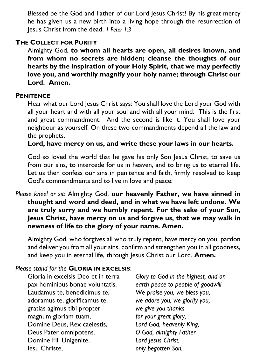Blessed be the God and Father of our Lord Jesus Christ! By his great mercy he has given us a new birth into a living hope through the resurrection of Jesus Christ from the dead. *1 Peter 1:3*

### **THE COLLECT FOR PURITY**

Almighty God, **to whom all hearts are open, all desires known, and from whom no secrets are hidden; cleanse the thoughts of our hearts by the inspiration of your Holy Spirit, that we may perfectly love you, and worthily magnify your holy name; through Christ our Lord. Amen.**

### **PENITENCE**

Hear what our Lord Jesus Christ says: You shall love the Lord your God with all your heart and with all your soul and with all your mind. This is the first and great commandment. And the second is like it. You shall love your neighbour as yourself. On these two commandments depend all the law and the prophets.

### **Lord, have mercy on us, and write these your laws in our hearts.**

God so loved the world that he gave his only Son Jesus Christ, to save us from our sins, to intercede for us in heaven, and to bring us to eternal life. Let us then confess our sins in penitence and faith, firmly resolved to keep God's commandments and to live in love and peace:

### *Please kneel or sit:* Almighty God, **our heavenly Father, we have sinned in thought and word and deed, and in what we have left undone. We are truly sorry and we humbly repent. For the sake of your Son, Jesus Christ, have mercy on us and forgive us, that we may walk in newness of life to the glory of your name. Amen.**

Almighty God, who forgives all who truly repent, have mercy on you, pardon and deliver you from all your sins, confirm and strengthen you in all goodness, and keep you in eternal life, through Jesus Christ our Lord. **Amen.** 

## *Please stand for the* **GLORIA IN EXCELSIS**:

Gloria in excelsis Deo et in terra pax hominibus bonae voluntatis. Laudamus te, benedicimus te, adoramus te, glorificamus te, gratias agimus tibi propter magnum gloriam tuam, Domine Deus, Rex caelestis, Deus Pater omnipotens. Domine Fili Unigenite, Iesu Christe,

*Glory to God in the highest, and on earth peace to people of goodwill We praise you, we bless you, we adore you, we glorify you, we give you thanks for your great glory, Lord God, heavenly King, O God, almighty Father. Lord Jesus Christ, only begotten Son,*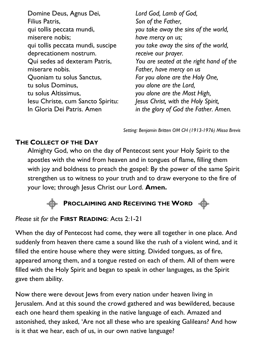Domine Deus, Agnus Dei, Filius Patris, qui tollis peccata mundi, miserere nobis; qui tollis peccata mundi, suscipe deprecationem nostrum. Qui sedes ad dexteram Patris, miserare nobis. Quoniam tu solus Sanctus, tu solus Dominus, tu solus Altissimus, Iesu Christe, cum Sancto Spiritu: In Gloria Dei Patris. Amen

*Lord God, Lamb of God, Son of the Father, you take away the sins of the world, have mercy on us; you take away the sins of the world, receive our prayer. You are seated at the right hand of the Father, have mercy on us For you alone are the Holy One, you alone are the Lord, you alone are the Most High, Jesus Christ, with the Holy Spirit, in the glory of God the Father. Amen.*

*Setting: Benjamin Britten OM CH (1913-1976) Missa Brevis*

### **THE COLLECT OF THE DAY**

Almighty God, who on the day of Pentecost sent your Holy Spirit to the apostles with the wind from heaven and in tongues of flame, filling them with joy and boldness to preach the gospel: By the power of the same Spirit strengthen us to witness to your truth and to draw everyone to the fire of your love; through Jesus Christ our Lord. Amen.



**PROCLAIMING AND RECEIVING THE WORD**

### *Please sit for the* **FIRST READING**: Acts 2:1-21

When the day of Pentecost had come, they were all together in one place. And suddenly from heaven there came a sound like the rush of a violent wind, and it filled the entire house where they were sitting. Divided tongues, as of fire, appeared among them, and a tongue rested on each of them. All of them were filled with the Holy Spirit and began to speak in other languages, as the Spirit gave them ability.

Now there were devout lews from every nation under heaven living in Jerusalem. And at this sound the crowd gathered and was bewildered, because each one heard them speaking in the native language of each. Amazed and astonished, they asked, 'Are not all these who are speaking Galileans? And how is it that we hear, each of us, in our own native language?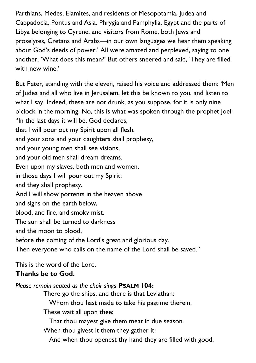Parthians, Medes, Elamites, and residents of Mesopotamia, Judea and Cappadocia, Pontus and Asia, Phrygia and Pamphylia, Egypt and the parts of Libya belonging to Cyrene, and visitors from Rome, both Jews and proselytes, Cretans and Arabs—in our own languages we hear them speaking about God's deeds of power.' All were amazed and perplexed, saying to one another, 'What does this mean?' But others sneered and said, 'They are filled with new wine.'

But Peter, standing with the eleven, raised his voice and addressed them: 'Men of Judea and all who live in Jerusalem, let this be known to you, and listen to what I say. Indeed, these are not drunk, as you suppose, for it is only nine o'clock in the morning. No, this is what was spoken through the prophet Joel: "In the last days it will be, God declares, that I will pour out my Spirit upon all flesh, and your sons and your daughters shall prophesy, and your young men shall see visions, and your old men shall dream dreams. Even upon my slaves, both men and women, in those days I will pour out my Spirit; and they shall prophesy. And I will show portents in the heaven above and signs on the earth below, blood, and fire, and smoky mist. The sun shall be turned to darkness and the moon to blood, before the coming of the Lord's great and glorious day. Then everyone who calls on the name of the Lord shall be saved."

This is the word of the Lord.

## **Thanks be to God.**

*Please remain seated as the choir sings* **PSALM 104:**

There go the ships, and there is that Leviathan:

Whom thou hast made to take his pastime therein.

These wait all upon thee:

That thou mayest give them meat in due season.

When thou givest it them they gather it:

And when thou openest thy hand they are filled with good.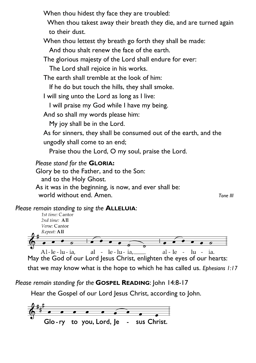When thou hidest thy face they are troubled:

 When thou takest away their breath they die, and are turned again to their dust.

When thou lettest thy breath go forth they shall be made:

And thou shalt renew the face of the earth.

The glorious majesty of the Lord shall endure for ever:

The Lord shall rejoice in his works.

The earth shall tremble at the look of him:

If he do but touch the hills, they shall smoke.

I will sing unto the Lord as long as I live:

I will praise my God while I have my being.

And so shall my words please him:

My joy shall be in the Lord.

As for sinners, they shall be consumed out of the earth, and the ungodly shall come to an end;

Praise thou the Lord, O my soul, praise the Lord.

### *Please stand for the* **GLORIA:**

Glory be to the Father, and to the Son: and to the Holy Ghost. As it was in the beginning, is now, and ever shall be: world without end. Amen. *Tone III* 

# *Please remain standing to sing the ALLELUIA:<br>
1st time: Cantor*

 $2nd$  time:  $All$ Verse: Cantor Repeat: All  $\circ$   $\circ$   $\circ$   $\circ$ Al-le-lu-ia, al - le-lu-ia,  $al - le - lu - ia$ .

May the God of our Lord Jesus Christ, enlighten the eyes of our hearts:

that we may know what is the hope to which he has called us. *Ephesians 1:17*

*Please remain standing for the* **GOSPEL READING**: John 14:8-17

Hear the Gospel of our Lord Jesus Christ, according to John.

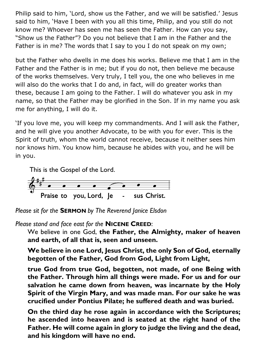Philip said to him, 'Lord, show us the Father, and we will be satisfied.' Jesus said to him, 'Have I been with you all this time, Philip, and you still do not know me? Whoever has seen me has seen the Father. How can you say, "Show us the Father"? Do you not believe that I am in the Father and the Father is in me? The words that I say to you I do not speak on my own;

but the Father who dwells in me does his works. Believe me that I am in the Father and the Father is in me; but if you do not, then believe me because of the works themselves. Very truly, I tell you, the one who believes in me will also do the works that I do and, in fact, will do greater works than these, because I am going to the Father. I will do whatever you ask in my name, so that the Father may be glorified in the Son. If in my name you ask me for anything, I will do it.

'If you love me, you will keep my commandments. And I will ask the Father, and he will give you another Advocate, to be with you for ever. This is the Spirit of truth, whom the world cannot receive, because it neither sees him nor knows him. You know him, because he abides with you, and he will be in you.

This is the Gospel of the Lord.



*Please sit for the* **SERMON** *by The Reverend Janice Elsdon*

*Please stand and face east for the* **NICENE CREED**:

We believe in one God, **the Father, the Almighty, maker of heaven and earth, of all that is, seen and unseen.**

**We believe in one Lord, Jesus Christ, the only Son of God, eternally begotten of the Father, God from God, Light from Light,**

**true God from true God, begotten, not made, of one Being with the Father. Through him all things were made. For us and for our salvation he came down from heaven, was incarnate by the Holy Spirit of the Virgin Mary, and was made man. For our sake he was crucified under Pontius Pilate; he suffered death and was buried.**

**On the third day he rose again in accordance with the Scriptures; he ascended into heaven and is seated at the right hand of the Father. He will come again in glory to judge the living and the dead, and his kingdom will have no end.**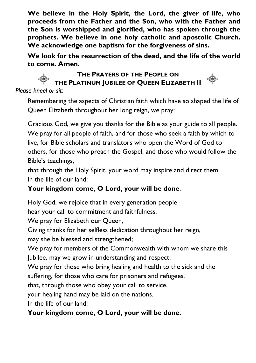**We believe in the Holy Spirit, the Lord, the giver of life, who proceeds from the Father and the Son, who with the Father and the Son is worshipped and glorified, who has spoken through the prophets. We believe in one holy catholic and apostolic Church. We acknowledge one baptism for the forgiveness of sins.**

**We look for the resurrection of the dead, and the life of the world to come. Amen.**

# **THE PRAYERS OF THE PEOPLE ON THE PLATINUM JUBILEE OF QUEEN ELIZABETH II**

*Please kneel or sit:*

Remembering the aspects of Christian faith which have so shaped the life of Queen Elizabeth throughout her long reign, we pray:

Gracious God, we give you thanks for the Bible as your guide to all people. We pray for all people of faith, and for those who seek a faith by which to live, for Bible scholars and translators who open the Word of God to others, for those who preach the Gospel, and those who would follow the Bible's teachings,

that through the Holy Spirit, your word may inspire and direct them. In the life of our land:

## **Your kingdom come, O Lord, your will be done**.

Holy God, we rejoice that in every generation people

hear your call to commitment and faithfulness.

We pray for Elizabeth our Queen,

Giving thanks for her selfless dedication throughout her reign,

may she be blessed and strengthened;

We pray for members of the Commonwealth with whom we share this Jubilee, may we grow in understanding and respect;

We pray for those who bring healing and health to the sick and the suffering, for those who care for prisoners and refugees,

that, through those who obey your call to service,

your healing hand may be laid on the nations.

In the life of our land:

# **Your kingdom come, O Lord, your will be done.**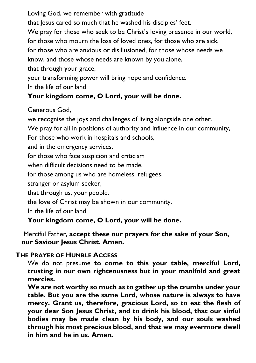Loving God, we remember with gratitude

that Jesus cared so much that he washed his disciples' feet.

We pray for those who seek to be Christ's loving presence in our world, for those who mourn the loss of loved ones, for those who are sick, for those who are anxious or disillusioned, for those whose needs we know, and those whose needs are known by you alone, that through your grace,

your transforming power will bring hope and confidence.

In the life of our land

# **Your kingdom come, O Lord, your will be done.**

Generous God,

we recognise the joys and challenges of living alongside one other.

We pray for all in positions of authority and influence in our community,

For those who work in hospitals and schools,

and in the emergency services,

for those who face suspicion and criticism

when difficult decisions need to be made,

for those among us who are homeless, refugees,

stranger or asylum seeker,

that through us, your people,

the love of Christ may be shown in our community.

In the life of our land

## **Your kingdom come, O Lord, your will be done.**

Merciful Father, **accept these our prayers for the sake of your Son, our Saviour Jesus Christ. Amen.**

# **THE PRAYER OF HUMBLE ACCESS**

We do not presume **to come to this your table, merciful Lord, trusting in our own righteousness but in your manifold and great mercies.**

**We are not worthy so much as to gather up the crumbs under your table. But you are the same Lord, whose nature is always to have mercy. Grant us, therefore, gracious Lord, so to eat the flesh of your dear Son Jesus Christ, and to drink his blood, that our sinful bodies may be made clean by his body, and our souls washed through his most precious blood, and that we may evermore dwell in him and he in us. Amen.**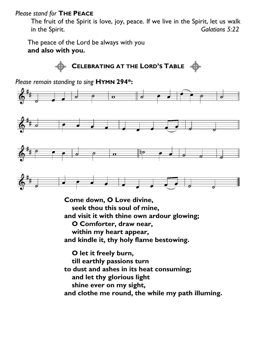*Please stand for* **THE PEACE**

The fruit of the Spirit is love, joy, peace. If we live in the Spirit, let us walk in the Spirit. *Galatians 5:22*

The peace of the Lord be always with you **and also with you.**



*Please remain standing to sing* **HYMN 294\*:**



**Come down, O Love divine, seek thou this soul of mine, and visit it with thine own ardour glowing; O Comforter, draw near, within my heart appear, and kindle it, thy holy flame bestowing.** 

 **O let it freely burn, till earthly passions turn to dust and ashes in its heat consuming; and let thy glorious light shine ever on my sight, and clothe me round, the while my path illuming.**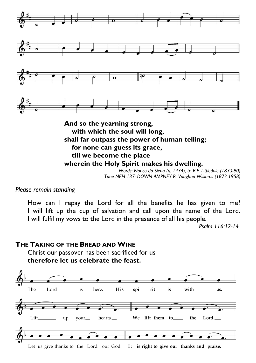

**And so the yearning strong, with which the soul will long, shall far outpass the power of human telling; for none can guess its grace, till we become the place wherein the Holy Spirit makes his dwelling.**

*Words: Bianco da Siena (d. 1434), tr. R.F. Littledale (1833-90) Tune NEH 137: DOWN AMPNEY R. Vaughan Williams (1872-1958)*

*Please remain standing*

How can I repay the Lord for all the benefits he has given to me? I will lift up the cup of salvation and call upon the name of the Lord. I will fulfil my vows to the Lord in the presence of all his people.

*Psalm 116:12-14*

#### **THE TAKING OF THE BREAD AND WINE**

Christ our passover has been sacrificed for us **therefore let us celebrate the feast.**



Let us give thanks to the Lord our God. It is right to give our thanks and praise.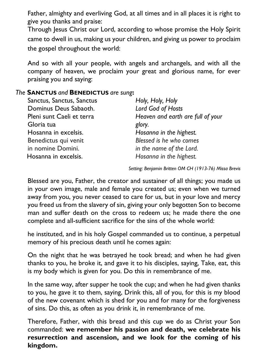Father, almighty and everliving God, at all times and in all places it is right to give you thanks and praise:

Through Jesus Christ our Lord, according to whose promise the Holy Spirit came to dwell in us, making us your children, and giving us power to proclaim the gospel throughout the world:

And so with all your people, with angels and archangels, and with all the company of heaven, we proclaim your great and glorious name, for ever praising you and saying:

#### *The* **SANCTUS** *and* **BENEDICTUS** *are sung***:**

| Sanctus, Sanctus, Sanctus | Holy, Holy, Holy                  |
|---------------------------|-----------------------------------|
| Dominus Deus Sabaoth.     | Lord God of Hosts                 |
| Pleni sunt Caeli et terra | Heaven and earth are full of your |
| Gloria tua                | glory.                            |
| Hosanna in excelsis.      | Hosanna in the highest.           |
| Benedictus qui venit      | Blessed is he who comes           |
| in nomine Domini.         | in the name of the Lord.          |
| Hosanna in excelsis.      | Hosanna in the highest.           |
|                           |                                   |

*Setting: Benjamin Britten OM CH (1913-76) Missa Brevis*

Blessed are you, Father, the creator and sustainer of all things; you made us in your own image, male and female you created us; even when we turned away from you, you never ceased to care for us, but in your love and mercy you freed us from the slavery of sin, giving your only begotten Son to become man and suffer death on the cross to redeem us; he made there the one complete and all-sufficient sacrifice for the sins of the whole world:

he instituted, and in his holy Gospel commanded us to continue, a perpetual memory of his precious death until he comes again:

On the night that he was betrayed he took bread; and when he had given thanks to you, he broke it, and gave it to his disciples, saying, Take, eat, this is my body which is given for you. Do this in remembrance of me.

In the same way, after supper he took the cup; and when he had given thanks to you, he gave it to them, saying, Drink this, all of you, for this is my blood of the new covenant which is shed for you and for many for the forgiveness of sins. Do this, as often as you drink it, in remembrance of me.

Therefore, Father, with this bread and this cup we do as Christ your Son commanded: **we remember his passion and death, we celebrate his resurrection and ascension, and we look for the coming of his kingdom.**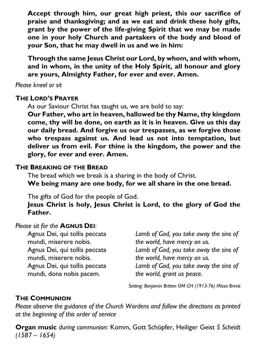**Accept through him, our great high priest, this our sacrifice of praise and thanksgiving; and as we eat and drink these holy gifts, grant by the power of the life-giving Spirit that we may be made one in your holy Church and partakers of the body and blood of your Son, that he may dwell in us and we in him:**

**Through the same Jesus Christ our Lord, by whom, and with whom, and in whom, in the unity of the Holy Spirit, all honour and glory are yours, Almighty Father, for ever and ever. Amen.**

*Please kneel or sit*

### **THE LORD'S PRAYER**

As our Saviour Christ has taught us, we are bold to say:

**Our Father, who art in heaven, hallowed be thy Name, thy kingdom come, thy will be done, on earth as it is in heaven. Give us this day our daily bread. And forgive us our trespasses, as we forgive those who trespass against us. And lead us not into temptation, but deliver us from evil. For thine is the kingdom, the power and the glory, for ever and ever. Amen.**

### **THE BREAKING OF THE BREAD**

The bread which we break is a sharing in the body of Christ. **We being many are one body, for we all share in the one bread.**

The gifts of God for the people of God.

**Jesus Christ is holy, Jesus Christ is Lord, to the glory of God the Father.**

### *Please sit for the* **AGNUS DEI**:

Agnus Dei, qui tollis peccata mundi, miserere nobis. Agnus Dei, qui tollis peccata mundi, miserere nobis. Agnus Dei, qui tollis peccata mundi, dona nobis pacem.

*Lamb of God, you take away the sins of the world, have mercy on us. Lamb of God, you take away the sins of the world, have mercy on us. Lamb of God, you take away the sins of the world, grant us peace.*

*Setting: Benjamin Britten OM CH (1913-76) Missa Brevis*

### **THE COMMUNION**

*Please observe the guidance of the Church Wardens and follow the directions as printed at the beginning of this order of service*

**Organ music** *during communion:* Komm, Gott Schöpfer, Heiliger Geist *S Scheidt (1587 – 1654)*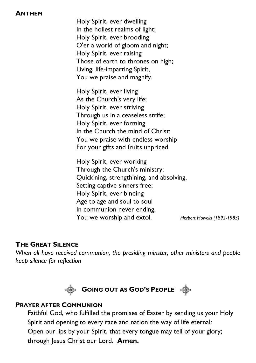### **ANTHEM**

Holy Spirit, ever dwelling In the holiest realms of light; Holy Spirit, ever brooding O'er a world of gloom and night; Holy Spirit, ever raising Those of earth to thrones on high; Living, life-imparting Spirit, You we praise and magnify.

Holy Spirit, ever living As the Church's very life; Holy Spirit, ever striving Through us in a ceaseless strife; Holy Spirit, ever forming In the Church the mind of Christ: You we praise with endless worship For your gifts and fruits unpriced.

Holy Spirit, ever working Through the Church's ministry; Quick'ning, strength'ning, and absolving, Setting captive sinners free; Holy Spirit, ever binding Age to age and soul to soul In communion never ending, You we worship and extol. *Herbert Howells (1892-1983)*

#### **THE GREAT SILENCE**

*When all have received communion, the presiding minster, other ministers and people keep silence for reflection*



#### **PRAYER AFTER COMMUNION**

Faithful God, who fulfilled the promises of Easter by sending us your Holy Spirit and opening to every race and nation the way of life eternal: Open our lips by your Spirit, that every tongue may tell of your glory; through Jesus Christ our Lord. **Amen.**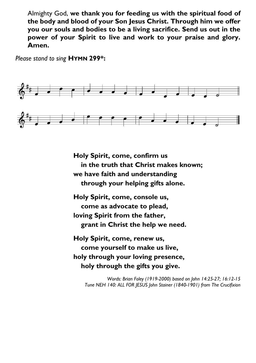Almighty God, **we thank you for feeding us with the spiritual food of the body and blood of your Son Jesus Christ. Through him we offer you our souls and bodies to be a living sacrifice. Send us out in the power of your Spirit to live and work to your praise and glory. Amen.**

*Please stand to sing* **HYMN 299\*:**



**Holy Spirit, come, confirm us in the truth that Christ makes known; we have faith and understanding through your helping gifts alone.**

**Holy Spirit, come, console us, come as advocate to plead, loving Spirit from the father, grant in Christ the help we need.**

**Holy Spirit, come, renew us, come yourself to make us live, holy through your loving presence, holy through the gifts you give.**

> *Words: Brian Foley (1919-2000) based on John 14:25-27; 16:12-15 Tune NEH 140: ALL FOR JESUS John Stainer (1840-1901) from The Crucifixion*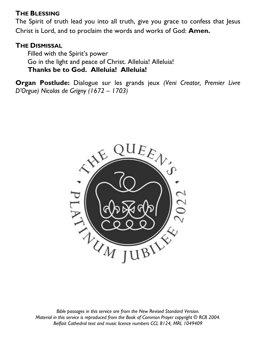### **THE BLESSING**

The Spirit of truth lead you into all truth, give you grace to confess that Jesus Christ is Lord, and to proclaim the words and works of God: **Amen.**

### **THE DISMISSAL**

Filled with the Spirit's power Go in the light and peace of Christ. Alleluia! Alleluia! **Thanks be to God. Alleluia! Alleluia!**

**Organ Postlude:** Dialogue sur les grands jeux *(Veni Creator, Premier Livre D'Orgue) Nicolas de Grigny (1672 – 1703)*



*Bible passages in this service are from the New Revised Standard Version. Material in this service is reproduced from the Book of Common Prayer copyright © RCB 2004. Belfast Cathedral text and music licence numbers CCL 8124, MRL 1049409*